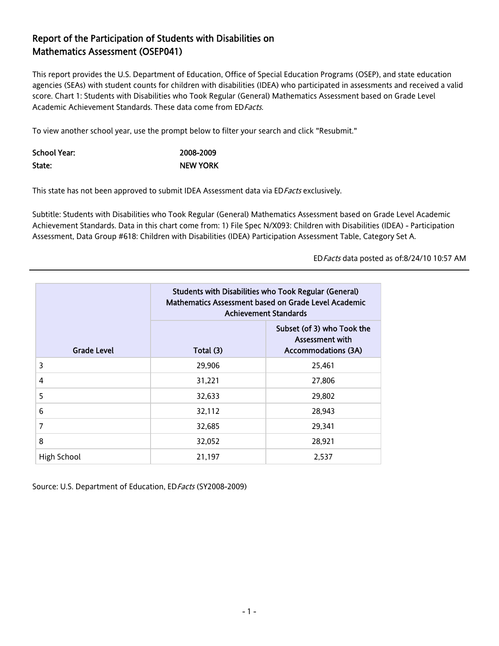## Report of the Participation of Students with Disabilities on Mathematics Assessment (OSEP041)

This report provides the U.S. Department of Education, Office of Special Education Programs (OSEP), and state education agencies (SEAs) with student counts for children with disabilities (IDEA) who participated in assessments and received a valid score. Chart 1: Students with Disabilities who Took Regular (General) Mathematics Assessment based on Grade Level Academic Achievement Standards. These data come from ED Facts.

To view another school year, use the prompt below to filter your search and click "Resubmit."

| School Year: | 2008-2009       |
|--------------|-----------------|
| State:       | <b>NEW YORK</b> |

This state has not been approved to submit IDEA Assessment data via ED Facts exclusively.

Subtitle: Students with Disabilities who Took Regular (General) Mathematics Assessment based on Grade Level Academic Achievement Standards. Data in this chart come from: 1) File Spec N/X093: Children with Disabilities (IDEA) - Participation Assessment, Data Group #618: Children with Disabilities (IDEA) Participation Assessment Table, Category Set A.

EDFacts data posted as of:8/24/10 10:57 AM

|                    | <b>Students with Disabilities who Took Regular (General)</b><br>Mathematics Assessment based on Grade Level Academic<br><b>Achievement Standards</b> |                                                                             |  |
|--------------------|------------------------------------------------------------------------------------------------------------------------------------------------------|-----------------------------------------------------------------------------|--|
| <b>Grade Level</b> | Total (3)                                                                                                                                            | Subset (of 3) who Took the<br>Assessment with<br><b>Accommodations (3A)</b> |  |
| 3                  | 29,906                                                                                                                                               | 25,461                                                                      |  |
| 4                  | 31,221                                                                                                                                               | 27,806                                                                      |  |
| 5                  | 32,633                                                                                                                                               | 29,802                                                                      |  |
| 6                  | 32,112                                                                                                                                               | 28,943                                                                      |  |
| 7                  | 32,685                                                                                                                                               | 29,341                                                                      |  |
| 8                  | 32,052                                                                                                                                               | 28,921                                                                      |  |
| High School        | 21,197                                                                                                                                               | 2,537                                                                       |  |

Source: U.S. Department of Education, ED Facts (SY2008-2009)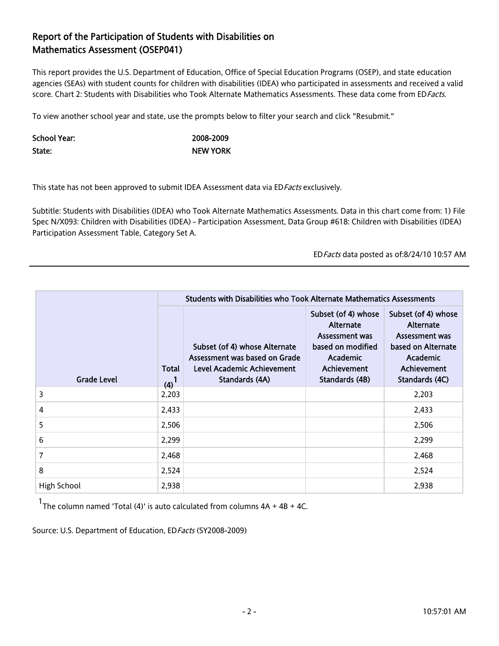## Report of the Participation of Students with Disabilities on Mathematics Assessment (OSEP041)

This report provides the U.S. Department of Education, Office of Special Education Programs (OSEP), and state education agencies (SEAs) with student counts for children with disabilities (IDEA) who participated in assessments and received a valid score. Chart 2: Students with Disabilities who Took Alternate Mathematics Assessments. These data come from EDFacts.

To view another school year and state, use the prompts below to filter your search and click "Resubmit."

| School Year: | 2008-2009       |
|--------------|-----------------|
| State:       | <b>NEW YORK</b> |

This state has not been approved to submit IDEA Assessment data via ED Facts exclusively.

Subtitle: Students with Disabilities (IDEA) who Took Alternate Mathematics Assessments. Data in this chart come from: 1) File Spec N/X093: Children with Disabilities (IDEA) - Participation Assessment, Data Group #618: Children with Disabilities (IDEA) Participation Assessment Table, Category Set A.

EDFacts data posted as of:8/24/10 10:57 AM

|                             |                  | Students with Disabilities who Took Alternate Mathematics Assessments                                                 |                                                                                                                             |                                                                                                                       |
|-----------------------------|------------------|-----------------------------------------------------------------------------------------------------------------------|-----------------------------------------------------------------------------------------------------------------------------|-----------------------------------------------------------------------------------------------------------------------|
| Total<br><b>Grade Level</b> |                  | Subset (of 4) whose Alternate<br>Assessment was based on Grade<br><b>Level Academic Achievement</b><br>Standards (4A) | Subset (of 4) whose<br>Alternate<br>Assessment was<br>based on modified<br><b>Academic</b><br>Achievement<br>Standards (4B) | Subset (of 4) whose<br>Alternate<br>Assessment was<br>based on Alternate<br>Academic<br>Achievement<br>Standards (4C) |
| 3                           | $(4)^1$<br>2,203 |                                                                                                                       |                                                                                                                             | 2,203                                                                                                                 |
| 4                           | 2,433            |                                                                                                                       |                                                                                                                             | 2,433                                                                                                                 |
| 5                           | 2,506            |                                                                                                                       |                                                                                                                             | 2,506                                                                                                                 |
| 6                           | 2,299            |                                                                                                                       |                                                                                                                             | 2,299                                                                                                                 |
| 7                           | 2,468            |                                                                                                                       |                                                                                                                             | 2,468                                                                                                                 |
| 8                           | 2,524            |                                                                                                                       |                                                                                                                             | 2,524                                                                                                                 |
| High School                 | 2,938            |                                                                                                                       |                                                                                                                             | 2,938                                                                                                                 |

 $1$ <sub>The column named 'Total (4)' is auto calculated from columns  $4A + 4B + 4C$ .</sub>

Source: U.S. Department of Education, ED Facts (SY2008-2009)